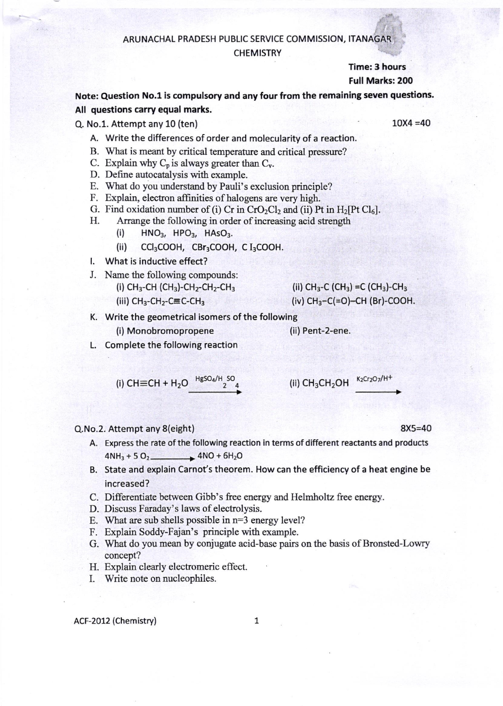#### ,t: ARUNACHAL PRADESH PUBLIC SERVICE COMMISSION, ITANAGAR <sup>I</sup>

## **CHEMISTRY**

Time: 3 hours Full Marks: 2OO

Note: Question No.1 is compulsory and any four from the remaining seven questions. All questions carry equal marks.

Q. No.l. Attempt any 10 (ten) 10X4 =40

- A. Write the differences of order and molecularity of a reaction.
- B. What is meant by critical temperature and critical presswe?
- C. Explain why  $C_p$  is always greater than  $C_v$ .
- D. Define autocatalysis with example.
- E. What do you urderstand by Pauli's exclusion principle?
- F. Explain, electron affinities of halogens are very high.
- G. Find oxidation number of (i) Cr in  $CrO_2Cl_2$  and (ii) Pt in  $H_2[Pt Cl_6]$ .
- H. Arrange the following in order of increasing acid strength
	- $(i)$  HNO<sub>3</sub>, HPO<sub>3</sub>, HAsO<sub>3</sub>.
	- (ii) CCI3COOH, CBr:COOH, C I3COOH.
- l. What is inductive effect?
- J. Name the following compounds:
	- (i) CH<sub>3</sub>-CH (CH<sub>3</sub>)-CH<sub>2</sub>-CH<sub>2</sub>-CH<sub>3</sub>
	- (iii)  $CH<sub>3</sub>-CH<sub>2</sub>-CEC-CH<sub>3</sub>$

(ii) 
$$
CH_3-C
$$
 (CH<sub>3</sub>) = C (CH<sub>3</sub>)-CH<sub>3</sub> (iv)  $CH_3-C(=O)$ —CH (Br)-COOH

- K. Write the geometrical isomers of the following
- (i) Monobromopropene (ii) Pent-2-ene. L. Complete the following reaction

(i) CH
$$
\equiv
$$
CH + H<sub>2</sub>O  $\xrightarrow{HgSO_4/H$  SO  
2 4 (ii) CH<sub>3</sub>CH<sub>2</sub>OH  $\xrightarrow{K_2Cr_2O_7/H^+}$ 

## Q.No.2. Attempt any 8(eight) 8X5=40

- A. Express the rate of the following reaction in terms of different reactants and products  $4NH_3 + 5 O_2$   $4NO + 6H_2O$
- B. State and explain Carnot's theorem. How can the efficiency of a heat engine be increased?
- C. Differentiate between Gibb's free energy and Helmholtz free energy.
- D. Discuss Faraday's laws of electolysis.
- E. What are sub shells possible in  $n=3$  energy level?
- F. Explain Soddy-Fajan's principle with example.
- G. What do you mean by conjugate acid-base pairs on the basis of Bronsted-Lowry concept?
- H. Explain clearly electomeric effect.
- I. Write note or nucleophiles.

### ACF-2012 (Chemistry) 1